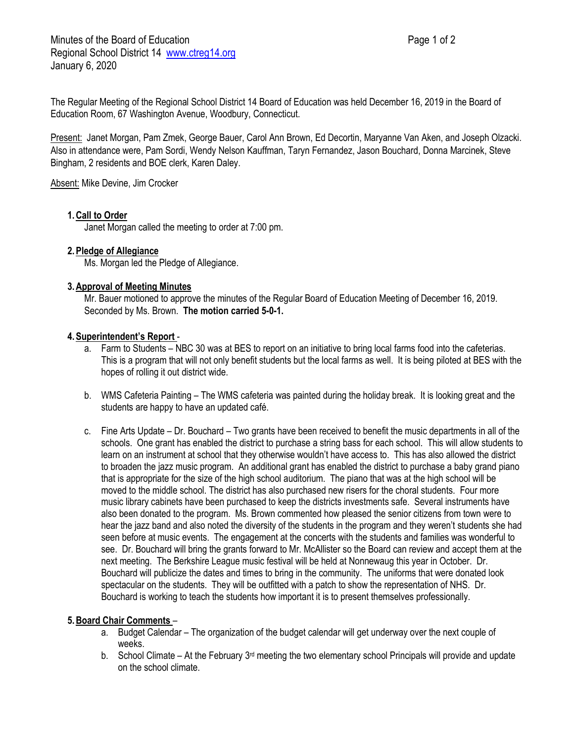The Regular Meeting of the Regional School District 14 Board of Education was held December 16, 2019 in the Board of Education Room, 67 Washington Avenue, Woodbury, Connecticut.

Present: Janet Morgan, Pam Zmek, George Bauer, Carol Ann Brown, Ed Decortin, Maryanne Van Aken, and Joseph Olzacki. Also in attendance were, Pam Sordi, Wendy Nelson Kauffman, Taryn Fernandez, Jason Bouchard, Donna Marcinek, Steve Bingham, 2 residents and BOE clerk, Karen Daley.

Absent: Mike Devine, Jim Crocker

#### **1.Call to Order**

Janet Morgan called the meeting to order at 7:00 pm.

### **2.Pledge of Allegiance**

Ms. Morgan led the Pledge of Allegiance.

#### **3.Approval of Meeting Minutes**

Mr. Bauer motioned to approve the minutes of the Regular Board of Education Meeting of December 16, 2019. Seconded by Ms. Brown. **The motion carried 5-0-1.**

#### **4.Superintendent's Report** -

- a. Farm to Students NBC 30 was at BES to report on an initiative to bring local farms food into the cafeterias. This is a program that will not only benefit students but the local farms as well. It is being piloted at BES with the hopes of rolling it out district wide.
- b. WMS Cafeteria Painting The WMS cafeteria was painted during the holiday break. It is looking great and the students are happy to have an updated café.
- c. Fine Arts Update Dr. Bouchard Two grants have been received to benefit the music departments in all of the schools. One grant has enabled the district to purchase a string bass for each school. This will allow students to learn on an instrument at school that they otherwise wouldn't have access to. This has also allowed the district to broaden the jazz music program. An additional grant has enabled the district to purchase a baby grand piano that is appropriate for the size of the high school auditorium. The piano that was at the high school will be moved to the middle school. The district has also purchased new risers for the choral students. Four more music library cabinets have been purchased to keep the districts investments safe. Several instruments have also been donated to the program. Ms. Brown commented how pleased the senior citizens from town were to hear the jazz band and also noted the diversity of the students in the program and they weren't students she had seen before at music events. The engagement at the concerts with the students and families was wonderful to see. Dr. Bouchard will bring the grants forward to Mr. McAllister so the Board can review and accept them at the next meeting. The Berkshire League music festival will be held at Nonnewaug this year in October. Dr. Bouchard will publicize the dates and times to bring in the community. The uniforms that were donated look spectacular on the students. They will be outfitted with a patch to show the representation of NHS. Dr. Bouchard is working to teach the students how important it is to present themselves professionally.

#### **5.Board Chair Comments** –

- a. Budget Calendar The organization of the budget calendar will get underway over the next couple of weeks.
- b. School Climate At the February  $3<sup>rd</sup>$  meeting the two elementary school Principals will provide and update on the school climate.